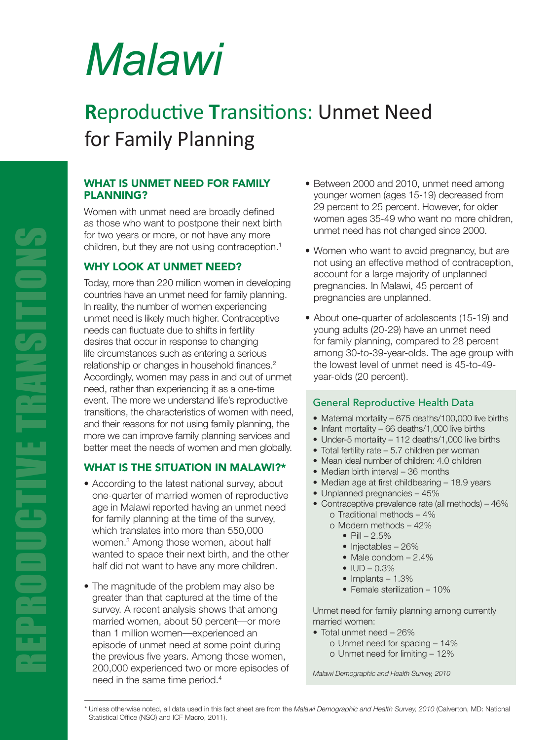# *Malawi*

# **R**eproductive **T**ransitions: Unmet Need for Family Planning

### WHAT IS UNMET NEED FOR FAMILY PLANNING?

Women with unmet need are broadly defined as those who want to postpone their next birth for two years or more, or not have any more children, but they are not using contraception. $1$ 

# WHY LOOK AT UNMET NEED?

Today, more than 220 million women in developing countries have an unmet need for family planning. In reality, the number of women experiencing unmet need is likely much higher. Contraceptive needs can fluctuate due to shifts in fertility desires that occur in response to changing life circumstances such as entering a serious relationship or changes in household finances.<sup>2</sup> Accordingly, women may pass in and out of unmet need, rather than experiencing it as a one-time event. The more we understand life's reproductive transitions, the characteristics of women with need, and their reasons for not using family planning, the more we can improve family planning services and better meet the needs of women and men globally.

# WHAT IS THE SITUATION IN MALAWI?\*

- According to the latest national survey, about one-quarter of married women of reproductive age in Malawi reported having an unmet need for family planning at the time of the survey, which translates into more than 550,000 women.<sup>3</sup> Among those women, about half wanted to space their next birth, and the other half did not want to have any more children.
- The magnitude of the problem may also be greater than that captured at the time of the survey. A recent analysis shows that among married women, about 50 percent—or more than 1 million women—experienced an episode of unmet need at some point during the previous five years. Among those women, 200,000 experienced two or more episodes of need in the same time period.4
- Between 2000 and 2010, unmet need among younger women (ages 15-19) decreased from 29 percent to 25 percent. However, for older women ages 35-49 who want no more children, unmet need has not changed since 2000.
- Women who want to avoid pregnancy, but are not using an effective method of contraception, account for a large majority of unplanned pregnancies. In Malawi, 45 percent of pregnancies are unplanned.
- About one-quarter of adolescents (15-19) and young adults (20-29) have an unmet need for family planning, compared to 28 percent among 30-to-39-year-olds. The age group with the lowest level of unmet need is 45-to-49 year-olds (20 percent).

#### General Reproductive Health Data

- Maternal mortality 675 deaths/100,000 live births
- Infant mortality 66 deaths/1,000 live births
- Under-5 mortality 112 deaths/1,000 live births
- Total fertility rate 5.7 children per woman
- Mean ideal number of children: 4.0 children
- Median birth interval 36 months
- Median age at first childbearing 18.9 years
- Unplanned pregnancies 45%
- Contraceptive prevalence rate (all methods) 46% o Traditional methods – 4%
	- o Modern methods 42%
		- $P||I 2.5%$
		- Injectables 26%
		- Male condom 2.4%
		- IUD 0.3%
		- Implants  $-1.3\%$
		- Female sterilization 10%

Unmet need for family planning among currently married women:

- Total unmet need 26%
	- o Unmet need for spacing 14%
	- o Unmet need for limiting 12%

*Malawi Demographic and Health Survey, 2010*

<sup>\*</sup> Unless otherwise noted, all data used in this fact sheet are from the *Malawi Demographic and Health Survey, 2010* (Calverton, MD: National Statistical Office (NSO) and ICF Macro, 2011).